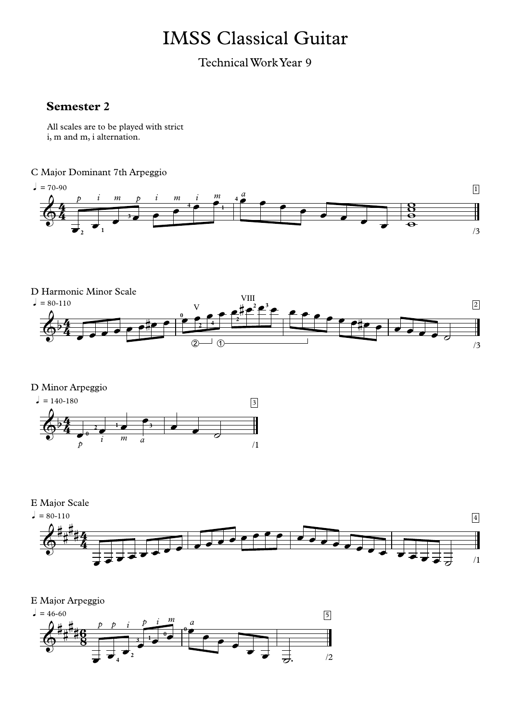## IMSS Classical Guitar

Technical Work Year 9

## **Semester 2**

All scales are to be played with strict i, m and m, i alternation.

## C Major Dominant 7th Arpeggio







E Major Scale



E Major Arpeggio